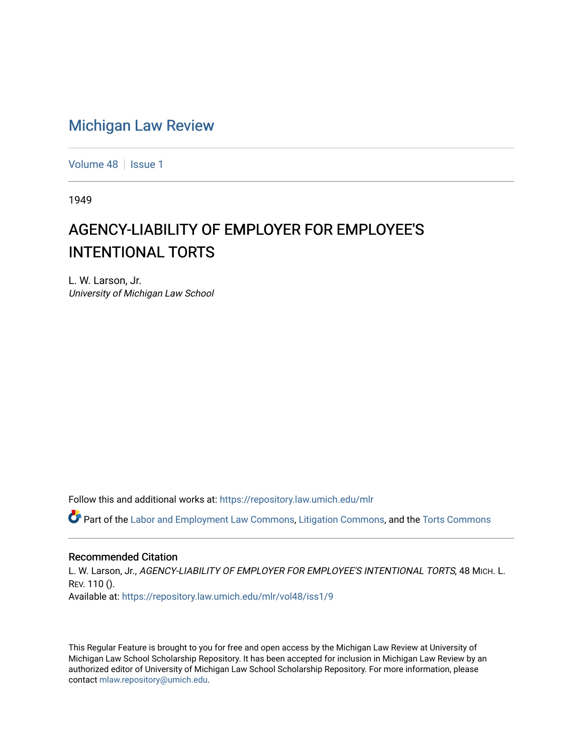## [Michigan Law Review](https://repository.law.umich.edu/mlr)

[Volume 48](https://repository.law.umich.edu/mlr/vol48) | [Issue 1](https://repository.law.umich.edu/mlr/vol48/iss1)

1949

## AGENCY-LIABILITY OF EMPLOYER FOR EMPLOYEE'S INTENTIONAL TORTS

L. W. Larson, Jr. University of Michigan Law School

Follow this and additional works at: [https://repository.law.umich.edu/mlr](https://repository.law.umich.edu/mlr?utm_source=repository.law.umich.edu%2Fmlr%2Fvol48%2Fiss1%2F9&utm_medium=PDF&utm_campaign=PDFCoverPages) 

Part of the [Labor and Employment Law Commons](http://network.bepress.com/hgg/discipline/909?utm_source=repository.law.umich.edu%2Fmlr%2Fvol48%2Fiss1%2F9&utm_medium=PDF&utm_campaign=PDFCoverPages), [Litigation Commons,](http://network.bepress.com/hgg/discipline/910?utm_source=repository.law.umich.edu%2Fmlr%2Fvol48%2Fiss1%2F9&utm_medium=PDF&utm_campaign=PDFCoverPages) and the [Torts Commons](http://network.bepress.com/hgg/discipline/913?utm_source=repository.law.umich.edu%2Fmlr%2Fvol48%2Fiss1%2F9&utm_medium=PDF&utm_campaign=PDFCoverPages) 

## Recommended Citation

L. W. Larson, Jr., AGENCY-LIABILITY OF EMPLOYER FOR EMPLOYEE'S INTENTIONAL TORTS, 48 MICH. L. REV. 110 (). Available at: [https://repository.law.umich.edu/mlr/vol48/iss1/9](https://repository.law.umich.edu/mlr/vol48/iss1/9?utm_source=repository.law.umich.edu%2Fmlr%2Fvol48%2Fiss1%2F9&utm_medium=PDF&utm_campaign=PDFCoverPages)

This Regular Feature is brought to you for free and open access by the Michigan Law Review at University of Michigan Law School Scholarship Repository. It has been accepted for inclusion in Michigan Law Review by an authorized editor of University of Michigan Law School Scholarship Repository. For more information, please contact [mlaw.repository@umich.edu](mailto:mlaw.repository@umich.edu).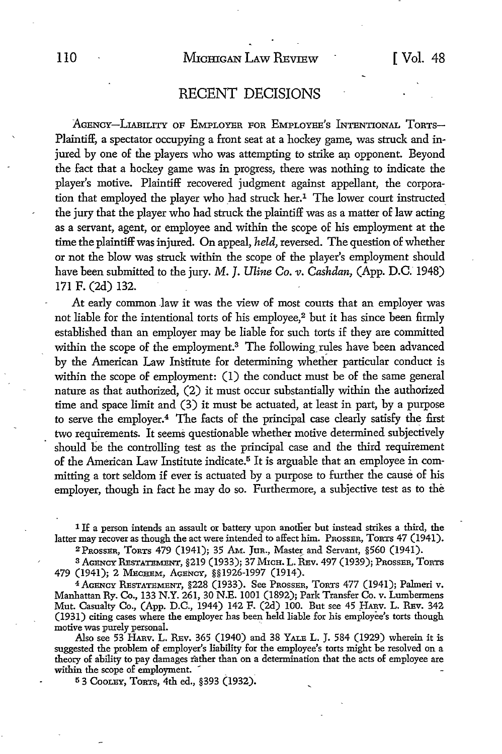## RECENT DECISIONS

AGENCY-LIABILITY OF EMPLOYER FOR EMPLOYEE'S INTENTIONAL ToRTS-Plaintiff, a spectator occupying a front seat at a hockey game, was struck and injured by one of the players who was attempting to strike an opponent. Beyond the fact that a hockey game was in progress, there was nothing to indicate the player's motive. Plaintiff recovered judgment against appellant, the corporation that employed the player who had struck her.<sup>1</sup> The lower court instructed the jury that the player who had struck the plaintiff was as a matter of law acting as a servant, agent, or employee and within the scope of his employment at the time the plaintiff was injured. On appeal, *held,* reversed. The question of whether or not the blow was struck within the scope of the player's employment should have been submitted to the jury. M. J. Uline Co. v. Cashdan, (App. D.C. 1948) 171 F. (2d) 132.

At early common law it was the view of most courts that an employer was not liable for the intentional torts of his employee,<sup>2</sup> but it has since been firmly established than an employer may be liable for such torts if they are committed within the scope of the employment.<sup>3</sup> The following rules have been advanced by the American Law Institute for determining whether particular conduct is within the scope of employment: (1) the conduct must be of the same general nature as that authorized, (2) it must occur substantially within the authorized time and space limit and (3) it must be actuated, at least in part, by a purpose to serve the employer.4 The facts of the principal case clearly satisfy the first two requirements. It seems questionable whether motive determined subjectively should be the controlling test as the principal case and the third requirement of the American Law Institute indicate.<sup>5</sup> It is arguable that an employee in committing a tort seldom if ever is actuated by a purpose to further the cause of his employer, though in fact he may do so. Furthermore, a subjective test as to the

<sup>1</sup> If a person intends an assault or battery upon another but instead strikes a third, the latter may recover as though the act were intended to affect him. PROSSER, TORTS 47 (1941).

ZPRossER, TORTS 479 (1941); 35 AM. Jun., Master and Servant, §560 (1941).

3 AGENCY RESTATEMENT, §219 (1933); 37 MrcH. L. REv. 497 (1939); PROSSER, ToRTS 479 (1941); 2 Меснем, Асе́хст, §§1926-1997 (1914).

4AGENCY RESTATEMENT, §228 (1933). See PROSSER, ToRTs 477 (1941); Palmeri v. Manhattan Ry. Co., 133 N.Y. 261, 30 N.E. 1001 (1892); Park Transfer Co. v. Lumbermens Mut. Casualty Co., (App. D.C., 1944) 142 F. (2d) 100. But see 45 HARV. L. REV. 342 (1931) citing cases where the employer has been held liable for his employee's torts though motive was purely personal.

Also see 53 HARv. L. REv. 365 (1940) and 38 YALE L. J. 584 (1929) wherein it is suggested the problem of employer's liability for the employee's torts might be resolved on a theory of ability to pay damages rather than on a determination that the acts of employee are within the scope of employment.

53 COOLEY, TORTS, 4th ed., §393 (1932).